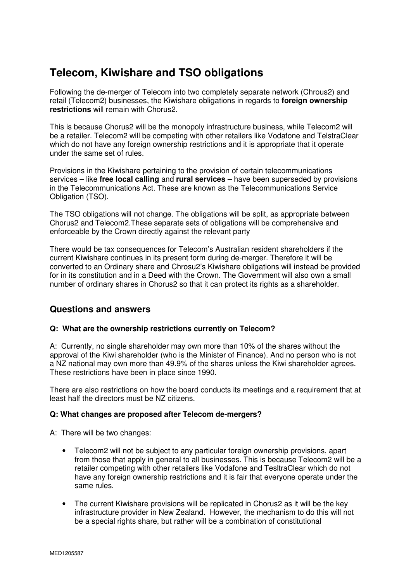# **Telecom, Kiwishare and TSO obligations**

Following the de-merger of Telecom into two completely separate network (Chrous2) and retail (Telecom2) businesses, the Kiwishare obligations in regards to **foreign ownership restrictions** will remain with Chorus2.

This is because Chorus2 will be the monopoly infrastructure business, while Telecom2 will be a retailer. Telecom2 will be competing with other retailers like Vodafone and TelstraClear which do not have any foreign ownership restrictions and it is appropriate that it operate under the same set of rules.

Provisions in the Kiwishare pertaining to the provision of certain telecommunications services – like **free local calling** and **rural services** – have been superseded by provisions in the Telecommunications Act. These are known as the Telecommunications Service Obligation (TSO).

The TSO obligations will not change. The obligations will be split, as appropriate between Chorus2 and Telecom2.These separate sets of obligations will be comprehensive and enforceable by the Crown directly against the relevant party

There would be tax consequences for Telecom's Australian resident shareholders if the current Kiwishare continues in its present form during de-merger. Therefore it will be converted to an Ordinary share and Chrosu2's Kiwishare obligations will instead be provided for in its constitution and in a Deed with the Crown. The Government will also own a small number of ordinary shares in Chorus2 so that it can protect its rights as a shareholder.

## **Questions and answers**

### **Q: What are the ownership restrictions currently on Telecom?**

A: Currently, no single shareholder may own more than 10% of the shares without the approval of the Kiwi shareholder (who is the Minister of Finance). And no person who is not a NZ national may own more than 49.9% of the shares unless the Kiwi shareholder agrees. These restrictions have been in place since 1990.

There are also restrictions on how the board conducts its meetings and a requirement that at least half the directors must be NZ citizens.

#### **Q: What changes are proposed after Telecom de-mergers?**

A: There will be two changes:

- Telecom2 will not be subject to any particular foreign ownership provisions, apart from those that apply in general to all businesses. This is because Telecom2 will be a retailer competing with other retailers like Vodafone and TesltraClear which do not have any foreign ownership restrictions and it is fair that everyone operate under the same rules.
- The current Kiwishare provisions will be replicated in Chorus2 as it will be the key infrastructure provider in New Zealand. However, the mechanism to do this will not be a special rights share, but rather will be a combination of constitutional